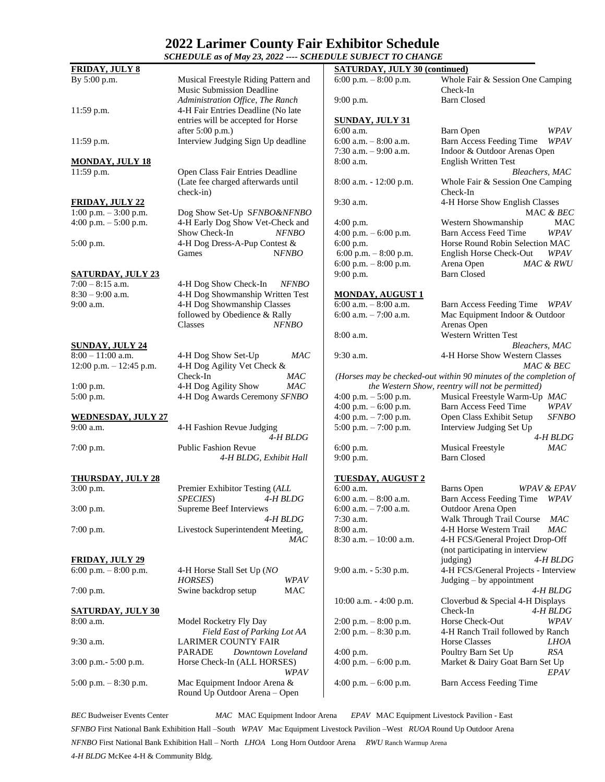## **2022 Larimer County Fair Exhibitor Schedule**

| SCHEDULE as of May 23, 2022 ---- SCHEDULE SUBJECT TO CHANGE |                                                                          |                                        |                                                                    |  |
|-------------------------------------------------------------|--------------------------------------------------------------------------|----------------------------------------|--------------------------------------------------------------------|--|
| <b>FRIDAY, JULY 8</b>                                       |                                                                          | <b>SATURDAY, JULY 30 (continued)</b>   |                                                                    |  |
| By 5:00 p.m.                                                | Musical Freestyle Riding Pattern and<br><b>Music Submission Deadline</b> | 6:00 p.m. $-8:00$ p.m.                 | Whole Fair & Session One Camping<br>Check-In                       |  |
| 11:59 p.m.                                                  | Administration Office, The Ranch<br>4-H Fair Entries Deadline (No late   | $9:00$ p.m.                            | <b>Barn Closed</b>                                                 |  |
|                                                             | entries will be accepted for Horse                                       | <b>SUNDAY, JULY 31</b>                 |                                                                    |  |
| 11:59 p.m.                                                  | after 5:00 p.m.)<br>Interview Judging Sign Up deadline                   | 6:00 a.m.<br>6:00 a.m. $-8:00$ a.m.    | WPAV<br>Barn Open<br>Barn Access Feeding Time<br>WPAV              |  |
| <b>MONDAY, JULY 18</b>                                      |                                                                          | 7:30 a.m. $-9:00$ a.m.<br>8:00 a.m.    | Indoor & Outdoor Arenas Open<br><b>English Written Test</b>        |  |
| 11:59 p.m.                                                  | Open Class Fair Entries Deadline                                         |                                        | Bleachers, MAC                                                     |  |
|                                                             | (Late fee charged afterwards until<br>$check-in)$                        | 8:00 a.m. - 12:00 p.m.                 | Whole Fair & Session One Camping<br>Check-In                       |  |
| <u>FRIDAY, JULY 22</u>                                      |                                                                          | 9:30 a.m.                              | 4-H Horse Show English Classes                                     |  |
| 1:00 p.m. $-3:00$ p.m.                                      | Dog Show Set-Up SFNBO&NFNBO                                              |                                        | MAC $\&$ $BEC$                                                     |  |
| 4:00 p.m. $-$ 5:00 p.m.                                     | 4-H Early Dog Show Vet-Check and                                         | $4:00$ p.m.                            | Western Showmanship<br>MAC                                         |  |
|                                                             | Show Check-In<br>NFNBO                                                   | 4:00 p.m. $-6:00$ p.m.                 | <b>Barn Access Feed Time</b><br>WPAV                               |  |
| $5:00$ p.m.                                                 | 4-H Dog Dress-A-Pup Contest &                                            | $6:00$ p.m.                            | Horse Round Robin Selection MAC                                    |  |
|                                                             | <b>NFNBO</b><br>Games                                                    | 6:00 p.m. $-8:00$ p.m.                 | English Horse Check-Out<br>WPAV                                    |  |
|                                                             |                                                                          | 6:00 p.m. $-8:00$ p.m.                 | MAC & RWU<br>Arena Open                                            |  |
| <u>SATURDAY, JULY 23</u>                                    |                                                                          | $9:00$ p.m.                            | <b>Barn Closed</b>                                                 |  |
| $7:00 - 8:15$ a.m.                                          | 4-H Dog Show Check-In<br><b>NFNBO</b>                                    |                                        |                                                                    |  |
| $8:30 - 9:00$ a.m.                                          | 4-H Dog Showmanship Written Test                                         | <b>MONDAY, AUGUST 1</b>                |                                                                    |  |
| 9:00 a.m.                                                   | 4-H Dog Showmanship Classes                                              | 6:00 a.m. $-8:00$ a.m.                 | Barn Access Feeding Time<br>WPAV                                   |  |
|                                                             | followed by Obedience & Rally<br>Classes<br><b>NFNBO</b>                 | 6:00 a.m. $-7:00$ a.m.                 | Mac Equipment Indoor & Outdoor<br>Arenas Open                      |  |
|                                                             |                                                                          | 8:00 a.m.                              | Western Written Test                                               |  |
| <b>SUNDAY, JULY 24</b>                                      |                                                                          |                                        | Bleachers, MAC                                                     |  |
| $8:00 - 11:00$ a.m.                                         | 4-H Dog Show Set-Up<br><b>MAC</b>                                        | $9:30$ a.m.                            | 4-H Horse Show Western Classes                                     |  |
| 12:00 p.m. $- 12:45$ p.m.                                   | 4-H Dog Agility Vet Check &                                              |                                        | MAC & BEC                                                          |  |
|                                                             | Check-In<br>MAC                                                          |                                        | (Horses may be checked-out within 90 minutes of the completion of  |  |
| $1:00$ p.m.                                                 | 4-H Dog Agility Show<br>MAC                                              |                                        | the Western Show, reentry will not be permitted)                   |  |
| $5:00$ p.m.                                                 | 4-H Dog Awards Ceremony SFNBO                                            | 4:00 p.m. $-$ 5:00 p.m.                | Musical Freestyle Warm-Up MAC                                      |  |
|                                                             |                                                                          | 4:00 p.m. $-6:00$ p.m.                 | Barn Access Feed Time<br>WPAV                                      |  |
| <b>WEDNESDAY, JULY 27</b>                                   |                                                                          | 4:00 p.m. $-7:00$ p.m.                 | Open Class Exhibit Setup<br><b>SFNBO</b>                           |  |
| 9:00 a.m.                                                   | 4-H Fashion Revue Judging<br>4-H BLDG                                    | 5:00 p.m. $-7:00$ p.m.                 | Interview Judging Set Up<br>$4-H$ BLDG                             |  |
| 7:00 p.m.                                                   | <b>Public Fashion Revue</b>                                              | $6:00$ p.m.                            | MAC<br><b>Musical Freestyle</b>                                    |  |
|                                                             | 4-H BLDG, Exhibit Hall                                                   | $9:00$ p.m.                            | <b>Barn Closed</b>                                                 |  |
| <b>THURSDAY, JULY 28</b>                                    |                                                                          | <u>TUESDAY, AUGUST 2</u>               |                                                                    |  |
| 3:00 p.m.                                                   | Premier Exhibitor Testing (ALL                                           | $6:00$ a.m.                            | Barns Open<br><b>WPAV &amp; EPAV</b>                               |  |
|                                                             | <i>SPECIES</i> )<br>4-H BLDG                                             | 6:00 a.m. $-$ 8:00 a.m.                | Barn Access Feeding Time<br>WPAV                                   |  |
| $3:00$ p.m.                                                 | Supreme Beef Interviews                                                  | 6:00 a.m. $-7:00$ a.m.                 | Outdoor Arena Open                                                 |  |
|                                                             | 4-H BLDG                                                                 | $7:30$ a.m.                            | Walk Through Trail Course<br>MAC                                   |  |
| 7:00 p.m.                                                   | Livestock Superintendent Meeting,                                        | 8:00 a.m.<br>$8:30$ a.m. $-10:00$ a.m. | MAC<br>4-H Horse Western Trail<br>4-H FCS/General Project Drop-Off |  |
|                                                             | MAC                                                                      |                                        |                                                                    |  |
| <b>FRIDAY, JULY 29</b>                                      |                                                                          |                                        | (not participating in interview<br>4-H BLDG                        |  |
| 6:00 p.m. $-8:00$ p.m.                                      | 4-H Horse Stall Set Up (NO                                               | 9:00 a.m. - 5:30 p.m.                  | judging)<br>4-H FCS/General Projects - Interview                   |  |
|                                                             | HORSES)<br>WPAV                                                          |                                        | Judging $-$ by appointment                                         |  |
| $7:00$ p.m.                                                 | Swine backdrop setup<br>MAC                                              |                                        | 4-H BLDG                                                           |  |
|                                                             |                                                                          | 10:00 a.m. $-$ 4:00 p.m.               | Cloverbud $&$ Special 4-H Displays                                 |  |
| <u>SATURDAY, JULY 30</u>                                    |                                                                          |                                        | Check-In<br>4-H BLDG                                               |  |
| 8:00 a.m.                                                   | Model Rocketry Fly Day                                                   | $2:00$ p.m. $-8:00$ p.m.               | Horse Check-Out<br>WPAV                                            |  |
|                                                             | Field East of Parking Lot AA                                             | $2:00$ p.m. $-8:30$ p.m.               | 4-H Ranch Trail followed by Ranch                                  |  |
| 9:30 a.m.                                                   | <b>LARIMER COUNTY FAIR</b>                                               |                                        | Horse Classes<br><b>LHOA</b>                                       |  |
|                                                             | PARADE<br>Downtown Loveland                                              | $4:00$ p.m.                            | RSA<br>Poultry Barn Set Up                                         |  |
| 3:00 p.m. - 5:00 p.m.                                       | Horse Check-In (ALL HORSES)                                              | 4:00 p.m. $-6:00$ p.m.                 | Market & Dairy Goat Barn Set Up                                    |  |
|                                                             | WPAV                                                                     |                                        | <b>EPAV</b>                                                        |  |
| $5:00$ p.m. $-8:30$ p.m.                                    | Mac Equipment Indoor Arena &<br>Round Up Outdoor Arena - Open            | 4:00 p.m. $-6:00$ p.m.                 | Barn Access Feeding Time                                           |  |

*BEC* Budweiser Events Center *MAC* MAC Equipment Indoor Arena *EPAV* MAC Equipment Livestock Pavilion - East *SFNBO* First National Bank Exhibition Hall –South *WPAV* Mac Equipment Livestock Pavilion –West *RUOA* Round Up Outdoor Arena *NFNBO* First National Bank Exhibition Hall – North *LHOA* Long Horn Outdoor Arena *RWU* Ranch Warmup Arena *4-H BLDG* McKee 4-H & Community Bldg.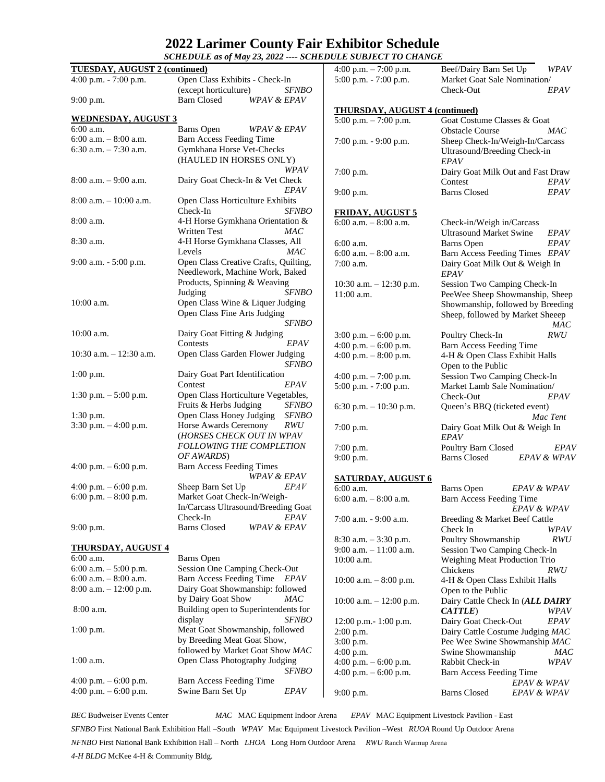## **2022 Larimer County Fair Exhibitor Schedule**

|                                      | SCHEDULE as of May 23, 2022 ---- SCHEDULE SUBJECT TO CHANGE                     |                                                    |                                                              |
|--------------------------------------|---------------------------------------------------------------------------------|----------------------------------------------------|--------------------------------------------------------------|
| <b>TUESDAY, AUGUST 2 (continued)</b> |                                                                                 | 4:00 p.m. $-7:00$ p.m.                             | Beef/Dairy Barn Set Up<br>WPAV                               |
| 4:00 p.m. $- 7:00$ p.m.              | Open Class Exhibits - Check-In                                                  | $5:00$ p.m. $-7:00$ p.m.                           | Market Goat Sale Nomination/                                 |
|                                      | (except horticulture)<br><b>SFNBO</b>                                           |                                                    | <b>EPAV</b><br>Check-Out                                     |
| $9:00$ p.m.                          | <b>Barn Closed</b><br><b>WPAV &amp; EPAV</b>                                    |                                                    |                                                              |
| <b>WEDNESDAY, AUGUST 3</b>           |                                                                                 | <b>THURSDAY, AUGUST 4 (continued)</b>              |                                                              |
| 6:00 a.m.                            | Barns Open<br><b>WPAV &amp; EPAV</b>                                            | 5:00 p.m. $-7:00$ p.m.                             | Goat Costume Classes & Goat<br><b>Obstacle Course</b><br>MAC |
| $6:00$ a.m. $-8:00$ a.m.             | <b>Barn Access Feeding Time</b>                                                 | 7:00 p.m. - 9:00 p.m.                              | Sheep Check-In/Weigh-In/Carcass                              |
| 6:30 a.m. $-7:30$ a.m.               | Gymkhana Horse Vet-Checks                                                       |                                                    | Ultrasound/Breeding Check-in                                 |
|                                      | (HAULED IN HORSES ONLY)                                                         |                                                    | <b>EPAV</b>                                                  |
|                                      | WPAV                                                                            | $7:00$ p.m.                                        | Dairy Goat Milk Out and Fast Draw                            |
| $8:00$ a.m. $-9:00$ a.m.             | Dairy Goat Check-In & Vet Check                                                 |                                                    | Contest<br>EPAV                                              |
|                                      | EPAV                                                                            | $9:00$ p.m.                                        | EPAV<br><b>Barns Closed</b>                                  |
| $8:00$ a.m. $-10:00$ a.m.            | Open Class Horticulture Exhibits                                                |                                                    |                                                              |
| 8:00 a.m.                            | Check-In<br><b>SFNBO</b><br>4-H Horse Gymkhana Orientation &                    | <b>FRIDAY, AUGUST 5</b>                            |                                                              |
|                                      | <b>Written Test</b><br>MAC                                                      | 6:00 a.m. $-$ 8:00 a.m.                            | Check-in/Weigh in/Carcass<br><b>Ultrasound Market Swine</b>  |
| 8:30 a.m.                            | 4-H Horse Gymkhana Classes, All                                                 | $6:00$ a.m.                                        | EPAV<br>EPAV<br>Barns Open                                   |
|                                      | <b>MAC</b><br>Levels                                                            | $6:00$ a.m. $-8:00$ a.m.                           | Barn Access Feeding Times EPAV                               |
| $9:00$ a.m. $-5:00$ p.m.             | Open Class Creative Crafts, Quilting,                                           | $7:00$ a.m.                                        | Dairy Goat Milk Out & Weigh In                               |
|                                      | Needlework, Machine Work, Baked                                                 |                                                    | <i>EPAV</i>                                                  |
|                                      | Products, Spinning & Weaving                                                    | 10:30 a.m. $- 12:30$ p.m.                          | Session Two Camping Check-In                                 |
|                                      | <b>SFNBO</b><br>Judging                                                         | 11:00 a.m.                                         | PeeWee Sheep Showmanship, Sheep                              |
| 10:00 a.m.                           | Open Class Wine & Liquer Judging                                                |                                                    | Showmanship, followed by Breeding                            |
|                                      | Open Class Fine Arts Judging<br><b>SFNBO</b>                                    |                                                    | Sheep, followed by Market Sheeep                             |
| $10:00$ a.m.                         | Dairy Goat Fitting & Judging                                                    |                                                    | <b>MAC</b><br><i>RWU</i>                                     |
|                                      | Contests<br><b>EPAV</b>                                                         | $3:00$ p.m. $-6:00$ p.m.<br>4:00 p.m. $-6:00$ p.m. | Poultry Check-In<br><b>Barn Access Feeding Time</b>          |
| $10:30$ a.m. $- 12:30$ a.m.          | Open Class Garden Flower Judging                                                | 4:00 p.m. $-8:00$ p.m.                             | 4-H & Open Class Exhibit Halls                               |
|                                      | <i>SFNBO</i><br>Open to the Public                                              |                                                    |                                                              |
| $1:00$ p.m.                          | Dairy Goat Part Identification                                                  | 4:00 p.m. $-7:00$ p.m.                             | Session Two Camping Check-In                                 |
|                                      | Contest<br>EPAV                                                                 | 5:00 p.m. - 7:00 p.m.                              | Market Lamb Sale Nomination/                                 |
| 1:30 p.m. $-5:00$ p.m.               | Open Class Horticulture Vegetables,                                             |                                                    | Check-Out<br>EPAV                                            |
|                                      | Fruits & Herbs Judging<br><b>SFNBO</b>                                          | 6:30 p.m. $-10:30$ p.m.                            | Queen's BBQ (ticketed event)                                 |
| $1:30$ p.m.                          | Open Class Honey Judging<br><b>SFNBO</b><br>Horse Awards Ceremony<br><b>RWU</b> |                                                    | Mac Tent                                                     |
| $3:30$ p.m. $-4:00$ p.m.             | (HORSES CHECK OUT IN WPAV                                                       | 7:00 p.m.                                          | Dairy Goat Milk Out & Weigh In<br>EPAV                       |
|                                      | <b>FOLLOWING THE COMPLETION</b>                                                 | $7:00$ p.m.                                        | Poultry Barn Closed<br>EPAV                                  |
|                                      | OF AWARDS)                                                                      | $9:00$ p.m.                                        | <b>Barns Closed</b><br>EPAV & WPAV                           |
| 4:00 p.m. $-6:00$ p.m.               | <b>Barn Access Feeding Times</b>                                                |                                                    |                                                              |
|                                      | WPAV & EPAV                                                                     | <b>SATURDAY, AUGUST 6</b>                          |                                                              |
| 4:00 p.m. $-6:00$ p.m.               | Sheep Barn Set Up<br><i>EPAV</i>                                                | $6:00$ a.m.                                        | Barns Open<br>EPAV & WPAV                                    |
| 6:00 p.m. $-8:00$ p.m.               | Market Goat Check-In/Weigh-                                                     | 6:00 a.m. $-$ 8:00 a.m.                            | Barn Access Feeding Time                                     |
|                                      | In/Carcass Ultrasound/Breeding Goat<br>Check-In<br>EPAV                         |                                                    | EPAV & WPAV                                                  |
| $9:00$ p.m.                          | <b>Barns Closed</b><br>WPAV & EPAV                                              | 7:00 a.m. - 9:00 a.m.                              | Breeding & Market Beef Cattle<br>Check In<br>WPAV            |
|                                      |                                                                                 | 8:30 a.m. - 3:30 p.m.                              | Poultry Showmanship<br><i>RWU</i>                            |
| <u>THURSDAY, AUGUST 4</u>            |                                                                                 | $9:00$ a.m. $-11:00$ a.m.                          | Session Two Camping Check-In                                 |
| 6:00 a.m.                            | <b>Barns</b> Open                                                               | 10:00 a.m.                                         | Weighing Meat Production Trio                                |
| 6:00 a.m. $-$ 5:00 p.m.              | Session One Camping Check-Out                                                   |                                                    | Chickens<br>RWU                                              |
| $6:00$ a.m. $-8:00$ a.m.             | Barn Access Feeding Time EPAV                                                   | 10:00 a.m. $-8:00$ p.m.                            | 4-H & Open Class Exhibit Halls                               |
| $8:00$ a.m. $-12:00$ p.m.            | Dairy Goat Showmanship: followed                                                |                                                    | Open to the Public                                           |
| 8:00 a.m.                            | by Dairy Goat Show<br>MAC<br>Building open to Superintendents for               | 10:00 a.m. $- 12:00$ p.m.                          | Dairy Cattle Check In (ALL DAIRY                             |
|                                      | <b>SFNBO</b><br>display                                                         | $12:00$ p.m. $-1:00$ p.m.                          | CATTLE)<br>WPAV<br><b>EPAV</b><br>Dairy Goat Check-Out       |
| $1:00$ p.m.                          | Meat Goat Showmanship, followed                                                 | 2:00 p.m.                                          | Dairy Cattle Costume Judging MAC                             |
|                                      | by Breeding Meat Goat Show,                                                     | $3:00$ p.m.                                        | Pee Wee Swine Showmanship MAC                                |
|                                      | followed by Market Goat Show MAC                                                | $4:00$ p.m.                                        | Swine Showmanship<br>MAC                                     |
| $1:00$ a.m.                          | Open Class Photography Judging                                                  | 4:00 p.m. $-6:00$ p.m.                             | Rabbit Check-in<br>WPAV                                      |
|                                      | <i>SFNBO</i>                                                                    | 4:00 p.m. $-6:00$ p.m.                             | Barn Access Feeding Time                                     |
| 4:00 p.m. $-6:00$ p.m.               | Barn Access Feeding Time                                                        |                                                    | EPAV & WPAV                                                  |
| 4:00 p.m. $-6:00$ p.m.               | Swine Barn Set Up<br>EPAV                                                       | $9:00$ p.m.                                        | <b>Barns Closed</b><br>EPAV & WPAV                           |

*BEC* Budweiser Events Center *MAC* MAC Equipment Indoor Arena *EPAV* MAC Equipment Livestock Pavilion - East *SFNBO* First National Bank Exhibition Hall –South *WPAV* Mac Equipment Livestock Pavilion –West *RUOA* Round Up Outdoor Arena *NFNBO* First National Bank Exhibition Hall – North *LHOA* Long Horn Outdoor Arena *RWU* Ranch Warmup Arena *4-H BLDG* McKee 4-H & Community Bldg.